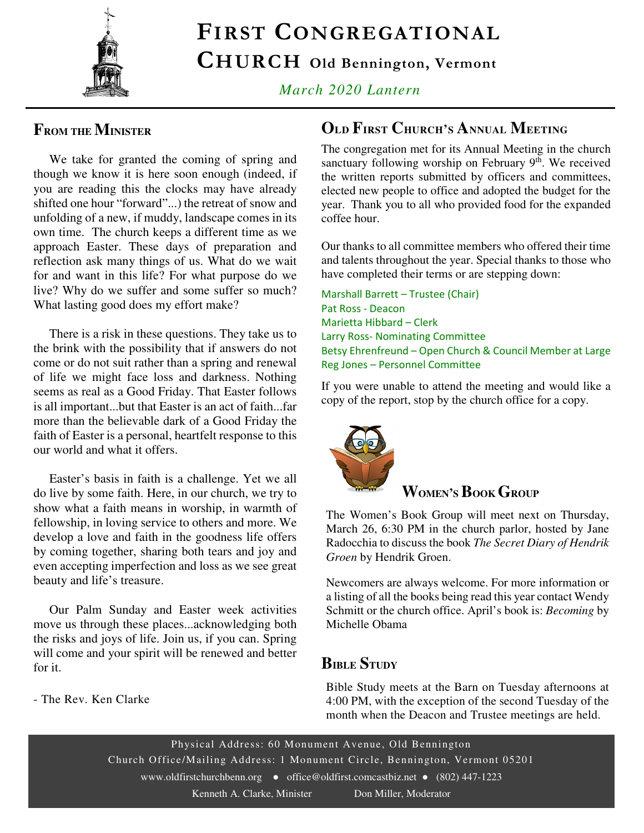

# FIRST CONGREGATIONAL

CHURCH Old Bennington, Vermont

*March 2020 Lantern* 

### **FROM THE MINISTER**

 We take for granted the coming of spring and though we know it is here soon enough (indeed, if you are reading this the clocks may have already shifted one hour "forward"...) the retreat of snow and unfolding of a new, if muddy, landscape comes in its own time. The church keeps a different time as we approach Easter. These days of preparation and reflection ask many things of us. What do we wait for and want in this life? For what purpose do we live? Why do we suffer and some suffer so much? What lasting good does my effort make?

 There is a risk in these questions. They take us to the brink with the possibility that if answers do not come or do not suit rather than a spring and renewal of life we might face loss and darkness. Nothing seems as real as a Good Friday. That Easter follows is all important...but that Easter is an act of faith...far more than the believable dark of a Good Friday the faith of Easter is a personal, heartfelt response to this our world and what it offers.

 Easter's basis in faith is a challenge. Yet we all do live by some faith. Here, in our church, we try to show what a faith means in worship, in warmth of fellowship, in loving service to others and more. We develop a love and faith in the goodness life offers by coming together, sharing both tears and joy and even accepting imperfection and loss as we see great beauty and life's treasure.

 Our Palm Sunday and Easter week activities move us through these places...acknowledging both the risks and joys of life. Join us, if you can. Spring will come and your spirit will be renewed and better for it.

- The Rev. Ken Clarke

### **OLD FIRST CHURCH'S ANNUAL MEETING**

The congregation met for its Annual Meeting in the church sanctuary following worship on February  $9<sup>th</sup>$ . We received the written reports submitted by officers and committees, elected new people to office and adopted the budget for the year. Thank you to all who provided food for the expanded coffee hour.

Our thanks to all committee members who offered their time and talents throughout the year. Special thanks to those who have completed their terms or are stepping down:

Marshall Barrett – Trustee (Chair) Pat Ross - Deacon Marietta Hibbard – Clerk Larry Ross- Nominating Committee Betsy Ehrenfreund – Open Church & Council Member at Large Reg Jones – Personnel Committee

If you were unable to attend the meeting and would like a copy of the report, stop by the church office for a copy.



### **WOMEN'SBOOK GROUP**

The Women's Book Group will meet next on Thursday, March 26, 6:30 PM in the church parlor, hosted by Jane Radocchia to discuss the book *The Secret Diary of Hendrik Groen* by Hendrik Groen.

Newcomers are always welcome. For more information or a listing of all the books being read this year contact Wendy Schmitt or the church office. April's book is: *Becoming* by Michelle Obama

#### **BIBLE STUDY**

Bible Study meets at the Barn on Tuesday afternoons at 4:00 PM, with the exception of the second Tuesday of the month when the Deacon and Trustee meetings are held.

Physical Address: 60 Monument Avenue, Old Bennington Church Office/Mailing Address: 1 Monument Circle, Bennington, Vermont 05201 www.oldfirstchurchbenn.org • office@oldfirst.comcastbiz.net • (802) 447-1223 Kenneth A. Clarke, Minister Don Miller, Moderator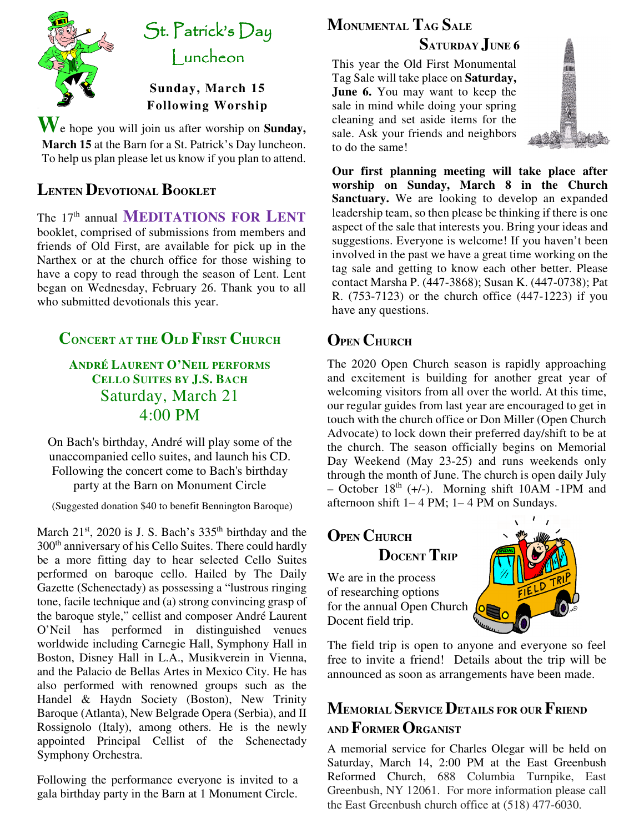

# St. Patrick's Day Luncheon

#### **Sunday, March 15 Following Worship**

**W**e hope you will join us after worship on **Sunday, March 15** at the Barn for a St. Patrick's Day luncheon. To help us plan please let us know if you plan to attend.

### **LENTEN DEVOTIONAL BOOKLET**

The 17th annual **MEDITATIONS FOR LENT** booklet, comprised of submissions from members and friends of Old First, are available for pick up in the Narthex or at the church office for those wishing to have a copy to read through the season of Lent. Lent began on Wednesday, February 26. Thank you to all who submitted devotionals this year.

### **CONCERT AT THE OLD FIRST CHURCH**

**ANDRÉ LAURENT O'NEIL PERFORMS CELLO SUITES BY J.S. BACH** Saturday, March 21 4:00 PM

On Bach's birthday, André will play some of the unaccompanied cello suites, and launch his CD. Following the concert come to Bach's birthday party at the Barn on Monument Circle

(Suggested donation \$40 to benefit Bennington Baroque)

March  $21^{st}$ , 2020 is J. S. Bach's  $335^{th}$  birthday and the 300<sup>th</sup> anniversary of his Cello Suites. There could hardly be a more fitting day to hear selected Cello Suites performed on baroque cello. Hailed by The Daily Gazette (Schenectady) as possessing a "lustrous ringing tone, facile technique and (a) strong convincing grasp of the baroque style," cellist and composer André Laurent O'Neil has performed in distinguished venues worldwide including Carnegie Hall, Symphony Hall in Boston, Disney Hall in L.A., Musikverein in Vienna, and the Palacio de Bellas Artes in Mexico City. He has also performed with renowned groups such as the Handel & Haydn Society (Boston), New Trinity Baroque (Atlanta), New Belgrade Opera (Serbia), and II Rossignolo (Italy), among others. He is the newly appointed Principal Cellist of the Schenectady Symphony Orchestra.

Following the performance everyone is invited to a gala birthday party in the Barn at 1 Monument Circle.

## **MONUMENTAL TAG SALE SATURDAY JUNE 6**

This year the Old First Monumental Tag Sale will take place on **Saturday, June 6.** You may want to keep the sale in mind while doing your spring cleaning and set aside items for the sale. Ask your friends and neighbors to do the same!



**Our first planning meeting will take place after worship on Sunday, March 8 in the Church Sanctuary.** We are looking to develop an expanded leadership team, so then please be thinking if there is one aspect of the sale that interests you. Bring your ideas and suggestions. Everyone is welcome! If you haven't been involved in the past we have a great time working on the tag sale and getting to know each other better. Please contact Marsha P. (447-3868); Susan K. (447-0738); Pat R. (753-7123) or the church office (447-1223) if you have any questions.

## **OPEN CHURCH**

– October  $18<sup>th</sup>$  (+/-). Morning shift 10AM -1PM and The 2020 Open Church season is rapidly approaching and excitement is building for another great year of welcoming visitors from all over the world. At this time, our regular guides from last year are encouraged to get in touch with the church office or Don Miller (Open Church Advocate) to lock down their preferred day/shift to be at the church. The season officially begins on Memorial Day Weekend (May 23-25) and runs weekends only through the month of June. The church is open daily July afternoon shift  $1-4$  PM;  $1-4$  PM on Sundays.

# **OPEN CHURCH DOCENT TRIP**

We are in the process of researching options for the annual Open Church Docent field trip.



The field trip is open to anyone and everyone so feel free to invite a friend! Details about the trip will be announced as soon as arrangements have been made.

## **MEMORIAL SERVICE DETAILS FOR OUR FRIEND AND FORMER ORGANIST**

A memorial service for Charles Olegar will be held on Saturday, March 14, 2:00 PM at the East Greenbush Reformed Church, 688 Columbia Turnpike, East Greenbush, NY 12061. For more information please call the East Greenbush church office at (518) 477-6030.